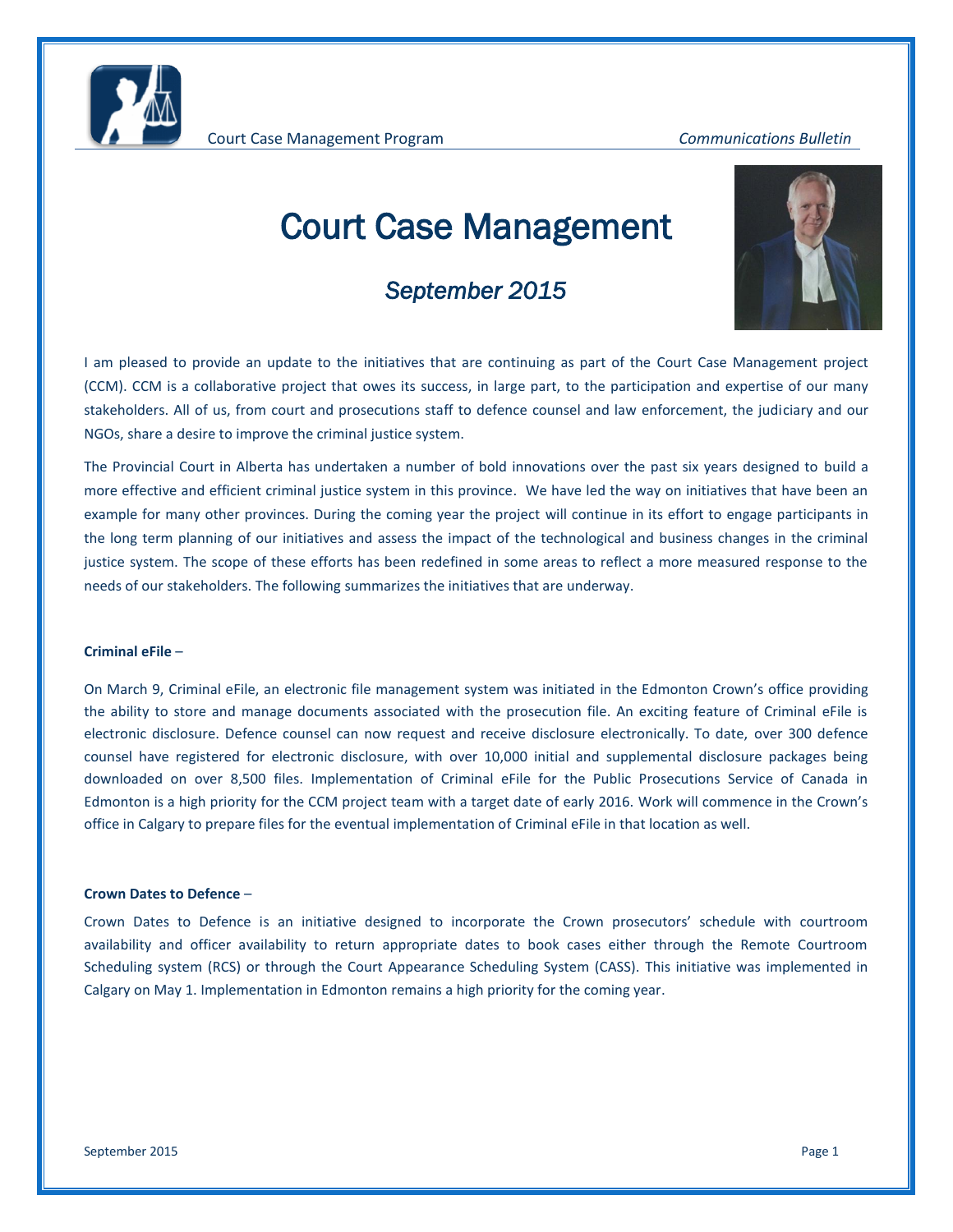

# Court Case Management

## *September 2015*



I am pleased to provide an update to the initiatives that are continuing as part of the Court Case Management project (CCM). CCM is a collaborative project that owes its success, in large part, to the participation and expertise of our many stakeholders. All of us, from court and prosecutions staff to defence counsel and law enforcement, the judiciary and our NGOs, share a desire to improve the criminal justice system.

The Provincial Court in Alberta has undertaken a number of bold innovations over the past six years designed to build a more effective and efficient criminal justice system in this province. We have led the way on initiatives that have been an example for many other provinces. During the coming year the project will continue in its effort to engage participants in the long term planning of our initiatives and assess the impact of the technological and business changes in the criminal justice system. The scope of these efforts has been redefined in some areas to reflect a more measured response to the needs of our stakeholders. The following summarizes the initiatives that are underway.

#### **Criminal eFile** –

On March 9, Criminal eFile, an electronic file management system was initiated in the Edmonton Crown's office providing the ability to store and manage documents associated with the prosecution file. An exciting feature of Criminal eFile is electronic disclosure. Defence counsel can now request and receive disclosure electronically. To date, over 300 defence counsel have registered for electronic disclosure, with over 10,000 initial and supplemental disclosure packages being downloaded on over 8,500 files. Implementation of Criminal eFile for the Public Prosecutions Service of Canada in Edmonton is a high priority for the CCM project team with a target date of early 2016. Work will commence in the Crown's office in Calgary to prepare files for the eventual implementation of Criminal eFile in that location as well.

#### **Crown Dates to Defence** –

Crown Dates to Defence is an initiative designed to incorporate the Crown prosecutors' schedule with courtroom availability and officer availability to return appropriate dates to book cases either through the Remote Courtroom Scheduling system (RCS) or through the Court Appearance Scheduling System (CASS). This initiative was implemented in Calgary on May 1. Implementation in Edmonton remains a high priority for the coming year.